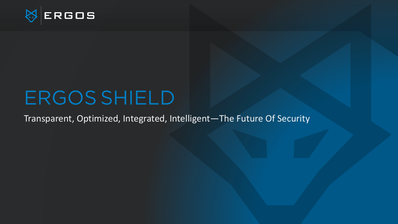

# ERGOS SHIELD

Transparent, Optimized, Integrated, Intelligent—The Future Of Security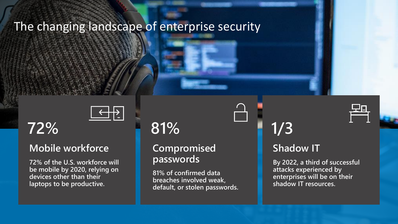### The changing landscape of enterprise security



#### **Mobile workforce**

**72% of the U.S. workforce will be mobile by 2020, relying on devices other than their laptops to be productive.** 

## **81%**

#### **Compromised passwords**

**81% of confirmed data breaches involved weak, default, or stolen passwords.**

**72% 1/3**

#### **Shadow IT**

**By 2022, a third of successful attacks experienced by enterprises will be on their shadow IT resources.**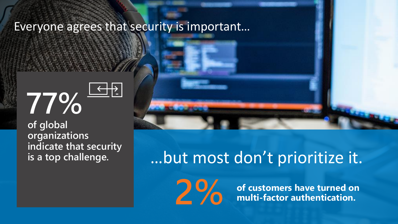### Everyone agrees that security is important…



**of global organizations indicate that security is a top challenge.**

# …but most don't prioritize it.

**2 % of customers have turned on <br>
<b>2 2 % multi-factor authentication.**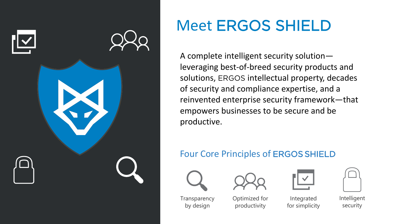

# Meet ERGOS SHIELD

A complete intelligent security solution leveraging best-of-breed security products and solutions, ERGOS intellectual property, decades of security and compliance expertise, and a reinvented enterprise security framework—that empowers businesses to be secure and be productive.

#### Four Core Principles of ERGOS SHIELD









Intelligent security

**Transparency** by design

Optimized for productivity



Integrated for simplicity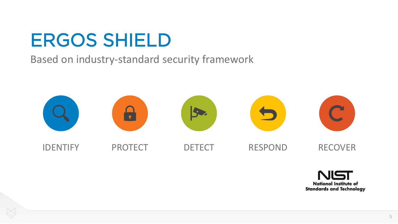# ERGOS SHIELD

#### Based on industry-standard security framework



![](_page_4_Picture_3.jpeg)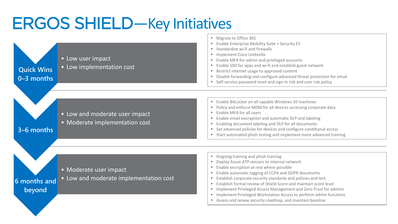# ERGOS SHIELD—Key Initiatives

![](_page_5_Figure_1.jpeg)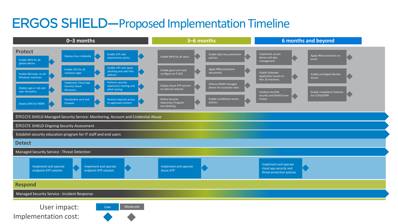### ERGOS SHIELD**—**Proposed Implementation Timeline

![](_page_6_Figure_1.jpeg)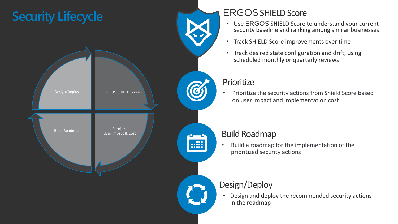![](_page_7_Figure_0.jpeg)

#### ERGOSSHIELD Score

- Use ERGOS SHIELD Score to understand your current security baseline and ranking among similar businesses
- Track SHIELD Score improvements over time
- Track desired state configuration and drift, using scheduled monthly or quarterly reviews

#### **Prioritize**

• Prioritize the security actions from Shield Score based on user impact and implementation cost

#### Build Roadmap

• Build a roadmap for the implementation of the prioritized security actions

#### Design/Deploy

• Design and deploy the recommended security actions in the roadmap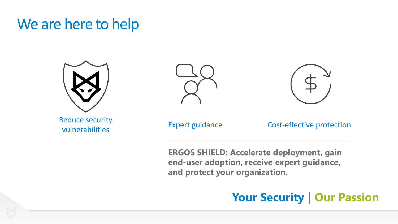### We are here to help

![](_page_8_Picture_1.jpeg)

![](_page_8_Picture_2.jpeg)

![](_page_8_Picture_3.jpeg)

vulnerabilities **Expert guidance** Cost-effective protection

**ERGOS SHIELD: Accelerate deployment, gain end-user adoption, receive expert guidance, and protect your organization.**

### **Your Security | Our Passion**